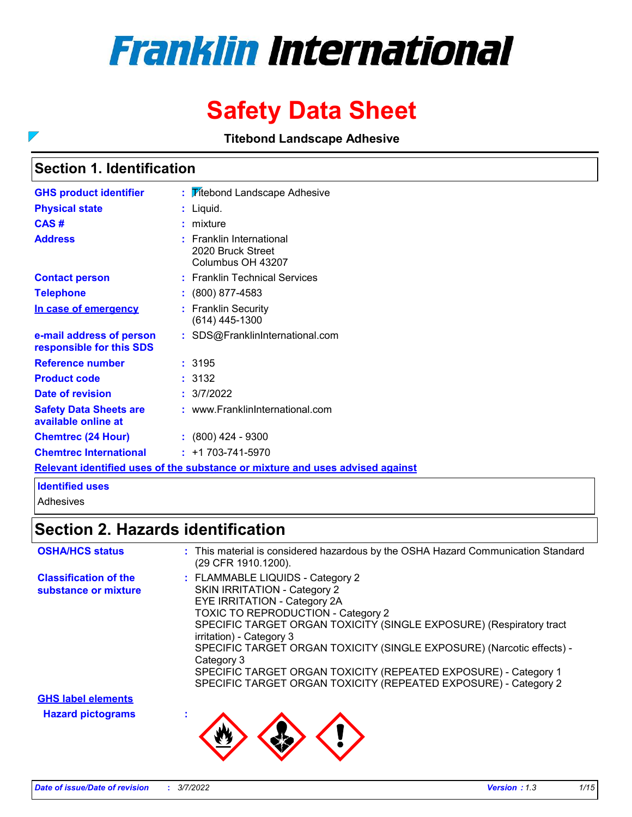# **Franklin International**

# **Safety Data Sheet**

**Titebond Landscape Adhesive**

### **Section 1. Identification**

 $\overline{\phantom{0}}$ 

| <b>GHS product identifier</b>                                                 |  | : <b>Titebond Landscape Adhesive</b>                                 |  |  |  |
|-------------------------------------------------------------------------------|--|----------------------------------------------------------------------|--|--|--|
| <b>Physical state</b>                                                         |  | : Liquid.                                                            |  |  |  |
| CAS#                                                                          |  | $:$ mixture                                                          |  |  |  |
| <b>Address</b>                                                                |  | $:$ Franklin International<br>2020 Bruck Street<br>Columbus OH 43207 |  |  |  |
| <b>Contact person</b>                                                         |  | : Franklin Technical Services                                        |  |  |  |
| <b>Telephone</b>                                                              |  | $: (800) 877-4583$                                                   |  |  |  |
| In case of emergency                                                          |  | : Franklin Security<br>(614) 445-1300                                |  |  |  |
| e-mail address of person<br>responsible for this SDS                          |  | : SDS@FranklinInternational.com                                      |  |  |  |
| <b>Reference number</b>                                                       |  | :3195                                                                |  |  |  |
| <b>Product code</b>                                                           |  | : 3132                                                               |  |  |  |
| Date of revision                                                              |  | : 3/7/2022                                                           |  |  |  |
| <b>Safety Data Sheets are</b><br>available online at                          |  | : www.FranklinInternational.com                                      |  |  |  |
| <b>Chemtrec (24 Hour)</b>                                                     |  | $: (800)$ 424 - 9300                                                 |  |  |  |
| <b>Chemtrec International</b>                                                 |  | $: +1703 - 741 - 5970$                                               |  |  |  |
| Relevant identified uses of the substance or mixture and uses advised against |  |                                                                      |  |  |  |

#### **Identified uses**

Adhesives

# **Section 2. Hazards identification**

| <b>OSHA/HCS status</b>                               | : This material is considered hazardous by the OSHA Hazard Communication Standard<br>(29 CFR 1910.1200).                                                                                                                                                                                                                                                                                                                                                                             |
|------------------------------------------------------|--------------------------------------------------------------------------------------------------------------------------------------------------------------------------------------------------------------------------------------------------------------------------------------------------------------------------------------------------------------------------------------------------------------------------------------------------------------------------------------|
| <b>Classification of the</b><br>substance or mixture | : FLAMMABLE LIQUIDS - Category 2<br><b>SKIN IRRITATION - Category 2</b><br>EYE IRRITATION - Category 2A<br><b>TOXIC TO REPRODUCTION - Category 2</b><br>SPECIFIC TARGET ORGAN TOXICITY (SINGLE EXPOSURE) (Respiratory tract<br>irritation) - Category 3<br>SPECIFIC TARGET ORGAN TOXICITY (SINGLE EXPOSURE) (Narcotic effects) -<br>Category 3<br>SPECIFIC TARGET ORGAN TOXICITY (REPEATED EXPOSURE) - Category 1<br>SPECIFIC TARGET ORGAN TOXICITY (REPEATED EXPOSURE) - Category 2 |
| <b>GHS label elements</b>                            |                                                                                                                                                                                                                                                                                                                                                                                                                                                                                      |
| <b>Hazard pictograms</b>                             |                                                                                                                                                                                                                                                                                                                                                                                                                                                                                      |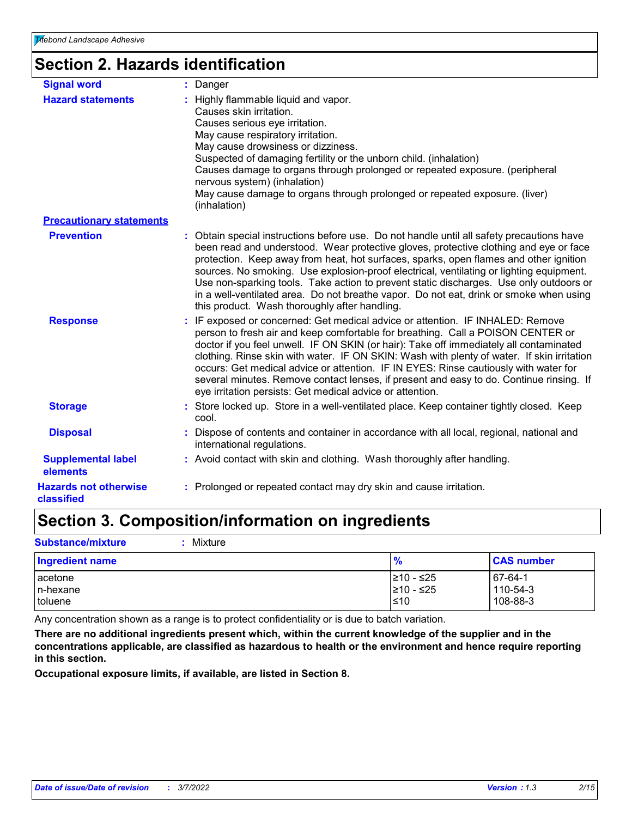# **Section 2. Hazards identification**

| <b>Signal word</b>                         | : Danger                                                                                                                                                                                                                                                                                                                                                                                                                                                                                                                                                                                                    |
|--------------------------------------------|-------------------------------------------------------------------------------------------------------------------------------------------------------------------------------------------------------------------------------------------------------------------------------------------------------------------------------------------------------------------------------------------------------------------------------------------------------------------------------------------------------------------------------------------------------------------------------------------------------------|
| <b>Hazard statements</b>                   | : Highly flammable liquid and vapor.<br>Causes skin irritation.<br>Causes serious eye irritation.<br>May cause respiratory irritation.<br>May cause drowsiness or dizziness.<br>Suspected of damaging fertility or the unborn child. (inhalation)<br>Causes damage to organs through prolonged or repeated exposure. (peripheral<br>nervous system) (inhalation)<br>May cause damage to organs through prolonged or repeated exposure. (liver)<br>(inhalation)                                                                                                                                              |
| <b>Precautionary statements</b>            |                                                                                                                                                                                                                                                                                                                                                                                                                                                                                                                                                                                                             |
| <b>Prevention</b>                          | : Obtain special instructions before use. Do not handle until all safety precautions have<br>been read and understood. Wear protective gloves, protective clothing and eye or face<br>protection. Keep away from heat, hot surfaces, sparks, open flames and other ignition<br>sources. No smoking. Use explosion-proof electrical, ventilating or lighting equipment.<br>Use non-sparking tools. Take action to prevent static discharges. Use only outdoors or<br>in a well-ventilated area. Do not breathe vapor. Do not eat, drink or smoke when using<br>this product. Wash thoroughly after handling. |
| <b>Response</b>                            | : IF exposed or concerned: Get medical advice or attention. IF INHALED: Remove<br>person to fresh air and keep comfortable for breathing. Call a POISON CENTER or<br>doctor if you feel unwell. IF ON SKIN (or hair): Take off immediately all contaminated<br>clothing. Rinse skin with water. IF ON SKIN: Wash with plenty of water. If skin irritation<br>occurs: Get medical advice or attention. IF IN EYES: Rinse cautiously with water for<br>several minutes. Remove contact lenses, if present and easy to do. Continue rinsing. If<br>eye irritation persists: Get medical advice or attention.   |
| <b>Storage</b>                             | : Store locked up. Store in a well-ventilated place. Keep container tightly closed. Keep<br>cool.                                                                                                                                                                                                                                                                                                                                                                                                                                                                                                           |
| <b>Disposal</b>                            | : Dispose of contents and container in accordance with all local, regional, national and<br>international regulations.                                                                                                                                                                                                                                                                                                                                                                                                                                                                                      |
| <b>Supplemental label</b><br>elements      | : Avoid contact with skin and clothing. Wash thoroughly after handling.                                                                                                                                                                                                                                                                                                                                                                                                                                                                                                                                     |
| <b>Hazards not otherwise</b><br>classified | : Prolonged or repeated contact may dry skin and cause irritation.                                                                                                                                                                                                                                                                                                                                                                                                                                                                                                                                          |

# **Section 3. Composition/information on ingredients**

**Substance/mixture :** Mixture

| <b>Ingredient name</b> | $\frac{9}{6}$ | <b>CAS number</b> |
|------------------------|---------------|-------------------|
| acetone                | 210 - ≤25     | $167 - 64 - 1$    |
| In-hexane              | 210 - ≤25     | 110-54-3          |
| toluene                | ≤10           | 108-88-3          |

Any concentration shown as a range is to protect confidentiality or is due to batch variation.

**There are no additional ingredients present which, within the current knowledge of the supplier and in the concentrations applicable, are classified as hazardous to health or the environment and hence require reporting in this section.**

**Occupational exposure limits, if available, are listed in Section 8.**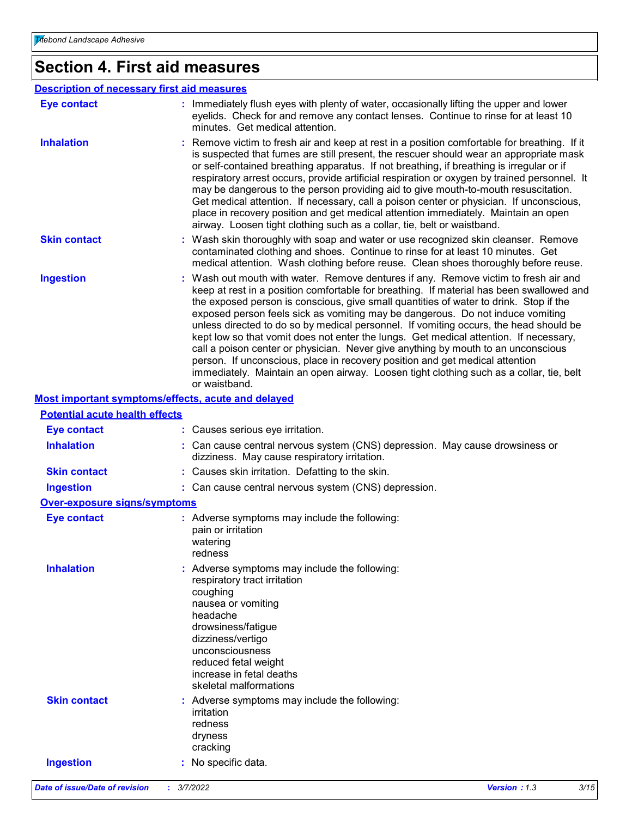# **Section 4. First aid measures**

| : Immediately flush eyes with plenty of water, occasionally lifting the upper and lower<br><b>Eye contact</b><br>eyelids. Check for and remove any contact lenses. Continue to rinse for at least 10<br>minutes. Get medical attention.<br><b>Inhalation</b><br>: Remove victim to fresh air and keep at rest in a position comfortable for breathing. If it<br>is suspected that fumes are still present, the rescuer should wear an appropriate mask<br>or self-contained breathing apparatus. If not breathing, if breathing is irregular or if<br>respiratory arrest occurs, provide artificial respiration or oxygen by trained personnel. It<br>may be dangerous to the person providing aid to give mouth-to-mouth resuscitation.<br>Get medical attention. If necessary, call a poison center or physician. If unconscious,<br>place in recovery position and get medical attention immediately. Maintain an open<br>airway. Loosen tight clothing such as a collar, tie, belt or waistband.<br><b>Skin contact</b><br>: Wash skin thoroughly with soap and water or use recognized skin cleanser. Remove<br>contaminated clothing and shoes. Continue to rinse for at least 10 minutes. Get<br>medical attention. Wash clothing before reuse. Clean shoes thoroughly before reuse.<br><b>Ingestion</b><br>: Wash out mouth with water. Remove dentures if any. Remove victim to fresh air and<br>keep at rest in a position comfortable for breathing. If material has been swallowed and<br>the exposed person is conscious, give small quantities of water to drink. Stop if the<br>exposed person feels sick as vomiting may be dangerous. Do not induce vomiting<br>unless directed to do so by medical personnel. If vomiting occurs, the head should be<br>kept low so that vomit does not enter the lungs. Get medical attention. If necessary,<br>call a poison center or physician. Never give anything by mouth to an unconscious<br>person. If unconscious, place in recovery position and get medical attention<br>immediately. Maintain an open airway. Loosen tight clothing such as a collar, tie, belt<br>or waistband.<br>Most important symptoms/effects, acute and delayed | <b>Description of necessary first aid measures</b> |  |  |
|--------------------------------------------------------------------------------------------------------------------------------------------------------------------------------------------------------------------------------------------------------------------------------------------------------------------------------------------------------------------------------------------------------------------------------------------------------------------------------------------------------------------------------------------------------------------------------------------------------------------------------------------------------------------------------------------------------------------------------------------------------------------------------------------------------------------------------------------------------------------------------------------------------------------------------------------------------------------------------------------------------------------------------------------------------------------------------------------------------------------------------------------------------------------------------------------------------------------------------------------------------------------------------------------------------------------------------------------------------------------------------------------------------------------------------------------------------------------------------------------------------------------------------------------------------------------------------------------------------------------------------------------------------------------------------------------------------------------------------------------------------------------------------------------------------------------------------------------------------------------------------------------------------------------------------------------------------------------------------------------------------------------------------------------------------------------------------------------------------------------------------------------------------------------------------------------------------|----------------------------------------------------|--|--|
|                                                                                                                                                                                                                                                                                                                                                                                                                                                                                                                                                                                                                                                                                                                                                                                                                                                                                                                                                                                                                                                                                                                                                                                                                                                                                                                                                                                                                                                                                                                                                                                                                                                                                                                                                                                                                                                                                                                                                                                                                                                                                                                                                                                                        |                                                    |  |  |
|                                                                                                                                                                                                                                                                                                                                                                                                                                                                                                                                                                                                                                                                                                                                                                                                                                                                                                                                                                                                                                                                                                                                                                                                                                                                                                                                                                                                                                                                                                                                                                                                                                                                                                                                                                                                                                                                                                                                                                                                                                                                                                                                                                                                        |                                                    |  |  |
|                                                                                                                                                                                                                                                                                                                                                                                                                                                                                                                                                                                                                                                                                                                                                                                                                                                                                                                                                                                                                                                                                                                                                                                                                                                                                                                                                                                                                                                                                                                                                                                                                                                                                                                                                                                                                                                                                                                                                                                                                                                                                                                                                                                                        |                                                    |  |  |
|                                                                                                                                                                                                                                                                                                                                                                                                                                                                                                                                                                                                                                                                                                                                                                                                                                                                                                                                                                                                                                                                                                                                                                                                                                                                                                                                                                                                                                                                                                                                                                                                                                                                                                                                                                                                                                                                                                                                                                                                                                                                                                                                                                                                        |                                                    |  |  |
|                                                                                                                                                                                                                                                                                                                                                                                                                                                                                                                                                                                                                                                                                                                                                                                                                                                                                                                                                                                                                                                                                                                                                                                                                                                                                                                                                                                                                                                                                                                                                                                                                                                                                                                                                                                                                                                                                                                                                                                                                                                                                                                                                                                                        |                                                    |  |  |

### **Potential acute health effects**

| <b>Eye contact</b>                  | : Causes serious eye irritation.                                                                                                                                                                                                                                        |
|-------------------------------------|-------------------------------------------------------------------------------------------------------------------------------------------------------------------------------------------------------------------------------------------------------------------------|
| <b>Inhalation</b>                   | : Can cause central nervous system (CNS) depression. May cause drowsiness or<br>dizziness. May cause respiratory irritation.                                                                                                                                            |
| <b>Skin contact</b>                 | : Causes skin irritation. Defatting to the skin.                                                                                                                                                                                                                        |
| <b>Ingestion</b>                    | : Can cause central nervous system (CNS) depression.                                                                                                                                                                                                                    |
| <b>Over-exposure signs/symptoms</b> |                                                                                                                                                                                                                                                                         |
| <b>Eye contact</b>                  | : Adverse symptoms may include the following:<br>pain or irritation<br>watering<br>redness                                                                                                                                                                              |
| <b>Inhalation</b>                   | : Adverse symptoms may include the following:<br>respiratory tract irritation<br>coughing<br>nausea or vomiting<br>headache<br>drowsiness/fatigue<br>dizziness/vertigo<br>unconsciousness<br>reduced fetal weight<br>increase in fetal deaths<br>skeletal malformations |
| <b>Skin contact</b>                 | : Adverse symptoms may include the following:<br>irritation<br>redness<br>dryness<br>cracking                                                                                                                                                                           |
| <b>Ingestion</b>                    | : No specific data.                                                                                                                                                                                                                                                     |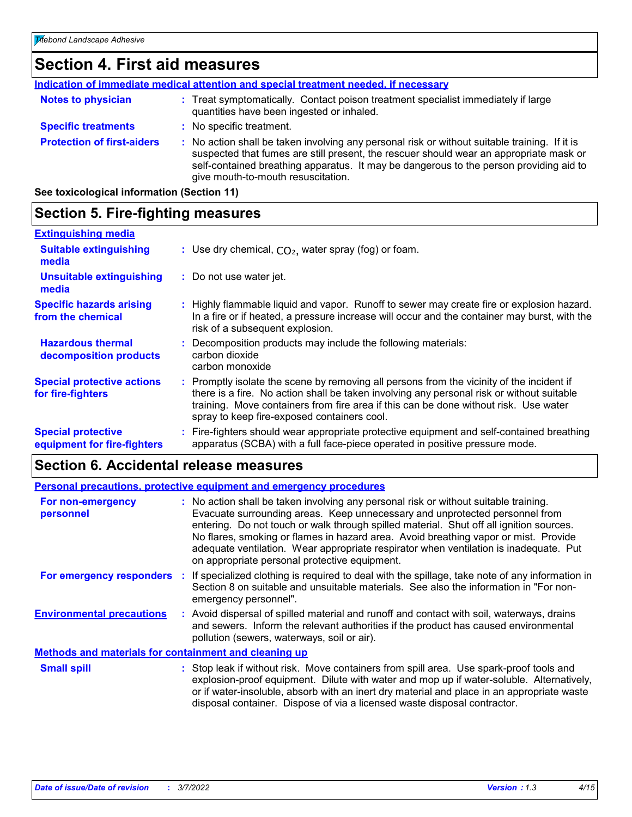# **Section 4. First aid measures**

| Indication of immediate medical attention and special treatment needed, if necessary |                                                                                                                                                                                                                                                                                                                         |  |
|--------------------------------------------------------------------------------------|-------------------------------------------------------------------------------------------------------------------------------------------------------------------------------------------------------------------------------------------------------------------------------------------------------------------------|--|
| <b>Notes to physician</b>                                                            | : Treat symptomatically. Contact poison treatment specialist immediately if large<br>quantities have been ingested or inhaled.                                                                                                                                                                                          |  |
| <b>Specific treatments</b>                                                           | : No specific treatment.                                                                                                                                                                                                                                                                                                |  |
| <b>Protection of first-aiders</b>                                                    | : No action shall be taken involving any personal risk or without suitable training. If it is<br>suspected that fumes are still present, the rescuer should wear an appropriate mask or<br>self-contained breathing apparatus. It may be dangerous to the person providing aid to<br>give mouth-to-mouth resuscitation. |  |

**See toxicological information (Section 11)**

## **Section 5. Fire-fighting measures**

| <b>Extinguishing media</b>                               |                                                                                                                                                                                                                                                                                                                               |
|----------------------------------------------------------|-------------------------------------------------------------------------------------------------------------------------------------------------------------------------------------------------------------------------------------------------------------------------------------------------------------------------------|
| <b>Suitable extinguishing</b><br>media                   | : Use dry chemical, $CO2$ , water spray (fog) or foam.                                                                                                                                                                                                                                                                        |
| <b>Unsuitable extinguishing</b><br>media                 | : Do not use water jet.                                                                                                                                                                                                                                                                                                       |
| <b>Specific hazards arising</b><br>from the chemical     | : Highly flammable liquid and vapor. Runoff to sewer may create fire or explosion hazard.<br>In a fire or if heated, a pressure increase will occur and the container may burst, with the<br>risk of a subsequent explosion.                                                                                                  |
| <b>Hazardous thermal</b><br>decomposition products       | : Decomposition products may include the following materials:<br>carbon dioxide<br>carbon monoxide                                                                                                                                                                                                                            |
| <b>Special protective actions</b><br>for fire-fighters   | : Promptly isolate the scene by removing all persons from the vicinity of the incident if<br>there is a fire. No action shall be taken involving any personal risk or without suitable<br>training. Move containers from fire area if this can be done without risk. Use water<br>spray to keep fire-exposed containers cool. |
| <b>Special protective</b><br>equipment for fire-fighters | Fire-fighters should wear appropriate protective equipment and self-contained breathing<br>apparatus (SCBA) with a full face-piece operated in positive pressure mode.                                                                                                                                                        |

# **Section 6. Accidental release measures**

|                                                       | Personal precautions, protective equipment and emergency procedures                                                                                                                                                                                                                                                                                                                                                                                                                             |
|-------------------------------------------------------|-------------------------------------------------------------------------------------------------------------------------------------------------------------------------------------------------------------------------------------------------------------------------------------------------------------------------------------------------------------------------------------------------------------------------------------------------------------------------------------------------|
| For non-emergency<br>personnel                        | : No action shall be taken involving any personal risk or without suitable training.<br>Evacuate surrounding areas. Keep unnecessary and unprotected personnel from<br>entering. Do not touch or walk through spilled material. Shut off all ignition sources.<br>No flares, smoking or flames in hazard area. Avoid breathing vapor or mist. Provide<br>adequate ventilation. Wear appropriate respirator when ventilation is inadequate. Put<br>on appropriate personal protective equipment. |
| <b>For emergency responders :</b>                     | If specialized clothing is required to deal with the spillage, take note of any information in<br>Section 8 on suitable and unsuitable materials. See also the information in "For non-<br>emergency personnel".                                                                                                                                                                                                                                                                                |
| <b>Environmental precautions</b>                      | : Avoid dispersal of spilled material and runoff and contact with soil, waterways, drains<br>and sewers. Inform the relevant authorities if the product has caused environmental<br>pollution (sewers, waterways, soil or air).                                                                                                                                                                                                                                                                 |
| Methods and materials for containment and cleaning up |                                                                                                                                                                                                                                                                                                                                                                                                                                                                                                 |
| <b>Small spill</b>                                    | : Stop leak if without risk. Move containers from spill area. Use spark-proof tools and<br>explosion-proof equipment. Dilute with water and mon up if water-soluble. Alternatively                                                                                                                                                                                                                                                                                                              |

explosion-proof equipment. Dilute with water and mop up if water-soluble. Alternatively, or if water-insoluble, absorb with an inert dry material and place in an appropriate waste disposal container. Dispose of via a licensed waste disposal contractor.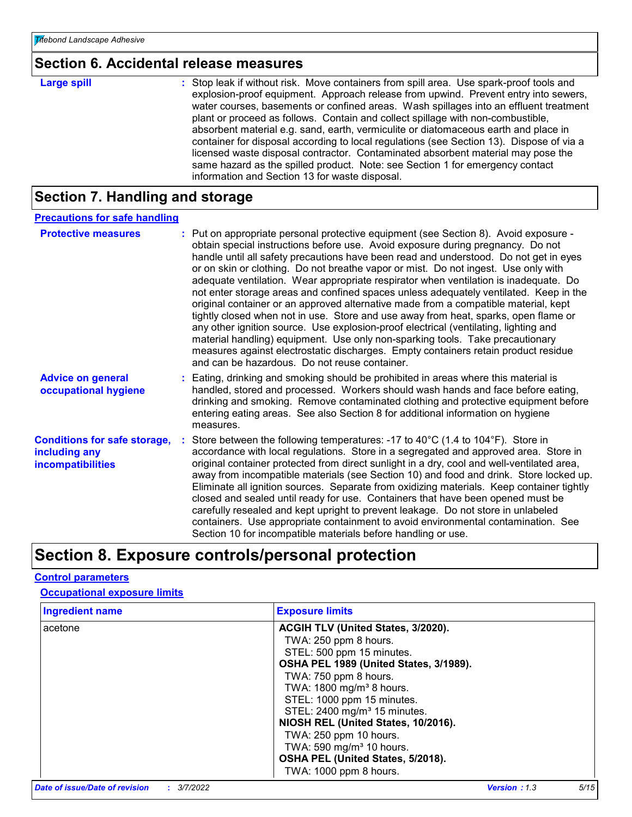## **Section 6. Accidental release measures**

| <b>Large spill</b> | : Stop leak if without risk. Move containers from spill area. Use spark-proof tools and<br>explosion-proof equipment. Approach release from upwind. Prevent entry into sewers,<br>water courses, basements or confined areas. Wash spillages into an effluent treatment<br>plant or proceed as follows. Contain and collect spillage with non-combustible,<br>absorbent material e.g. sand, earth, vermiculite or diatomaceous earth and place in<br>container for disposal according to local regulations (see Section 13). Dispose of via a<br>licensed waste disposal contractor. Contaminated absorbent material may pose the<br>same hazard as the spilled product. Note: see Section 1 for emergency contact |
|--------------------|--------------------------------------------------------------------------------------------------------------------------------------------------------------------------------------------------------------------------------------------------------------------------------------------------------------------------------------------------------------------------------------------------------------------------------------------------------------------------------------------------------------------------------------------------------------------------------------------------------------------------------------------------------------------------------------------------------------------|
|                    | information and Section 13 for waste disposal.                                                                                                                                                                                                                                                                                                                                                                                                                                                                                                                                                                                                                                                                     |

# **Section 7. Handling and storage**

| <b>Precautions for safe handling</b>                                             |                                                                                                                                                                                                                                                                                                                                                                                                                                                                                                                                                                                                                                                                                                                                                                                                                                                                                                                                                                                                                                       |
|----------------------------------------------------------------------------------|---------------------------------------------------------------------------------------------------------------------------------------------------------------------------------------------------------------------------------------------------------------------------------------------------------------------------------------------------------------------------------------------------------------------------------------------------------------------------------------------------------------------------------------------------------------------------------------------------------------------------------------------------------------------------------------------------------------------------------------------------------------------------------------------------------------------------------------------------------------------------------------------------------------------------------------------------------------------------------------------------------------------------------------|
| <b>Protective measures</b>                                                       | : Put on appropriate personal protective equipment (see Section 8). Avoid exposure -<br>obtain special instructions before use. Avoid exposure during pregnancy. Do not<br>handle until all safety precautions have been read and understood. Do not get in eyes<br>or on skin or clothing. Do not breathe vapor or mist. Do not ingest. Use only with<br>adequate ventilation. Wear appropriate respirator when ventilation is inadequate. Do<br>not enter storage areas and confined spaces unless adequately ventilated. Keep in the<br>original container or an approved alternative made from a compatible material, kept<br>tightly closed when not in use. Store and use away from heat, sparks, open flame or<br>any other ignition source. Use explosion-proof electrical (ventilating, lighting and<br>material handling) equipment. Use only non-sparking tools. Take precautionary<br>measures against electrostatic discharges. Empty containers retain product residue<br>and can be hazardous. Do not reuse container. |
| <b>Advice on general</b><br>occupational hygiene                                 | : Eating, drinking and smoking should be prohibited in areas where this material is<br>handled, stored and processed. Workers should wash hands and face before eating,<br>drinking and smoking. Remove contaminated clothing and protective equipment before<br>entering eating areas. See also Section 8 for additional information on hygiene<br>measures.                                                                                                                                                                                                                                                                                                                                                                                                                                                                                                                                                                                                                                                                         |
| <b>Conditions for safe storage,</b><br>including any<br><b>incompatibilities</b> | Store between the following temperatures: -17 to 40 $^{\circ}$ C (1.4 to 104 $^{\circ}$ F). Store in<br>accordance with local regulations. Store in a segregated and approved area. Store in<br>original container protected from direct sunlight in a dry, cool and well-ventilated area,<br>away from incompatible materials (see Section 10) and food and drink. Store locked up.<br>Eliminate all ignition sources. Separate from oxidizing materials. Keep container tightly<br>closed and sealed until ready for use. Containers that have been opened must be<br>carefully resealed and kept upright to prevent leakage. Do not store in unlabeled<br>containers. Use appropriate containment to avoid environmental contamination. See<br>Section 10 for incompatible materials before handling or use.                                                                                                                                                                                                                       |

# **Section 8. Exposure controls/personal protection**

#### **Control parameters**

#### **Occupational exposure limits**

| <b>Ingredient name</b> | <b>Exposure limits</b>                   |
|------------------------|------------------------------------------|
| acetone                | ACGIH TLV (United States, 3/2020).       |
|                        | TWA: 250 ppm 8 hours.                    |
|                        | STEL: 500 ppm 15 minutes.                |
|                        | OSHA PEL 1989 (United States, 3/1989).   |
|                        | TWA: 750 ppm 8 hours.                    |
|                        | TWA: 1800 mg/m <sup>3</sup> 8 hours.     |
|                        | STEL: 1000 ppm 15 minutes.               |
|                        | STEL: 2400 mg/m <sup>3</sup> 15 minutes. |
|                        | NIOSH REL (United States, 10/2016).      |
|                        | TWA: 250 ppm 10 hours.                   |
|                        | TWA: 590 mg/m <sup>3</sup> 10 hours.     |
|                        | OSHA PEL (United States, 5/2018).        |
|                        | TWA: 1000 ppm 8 hours.                   |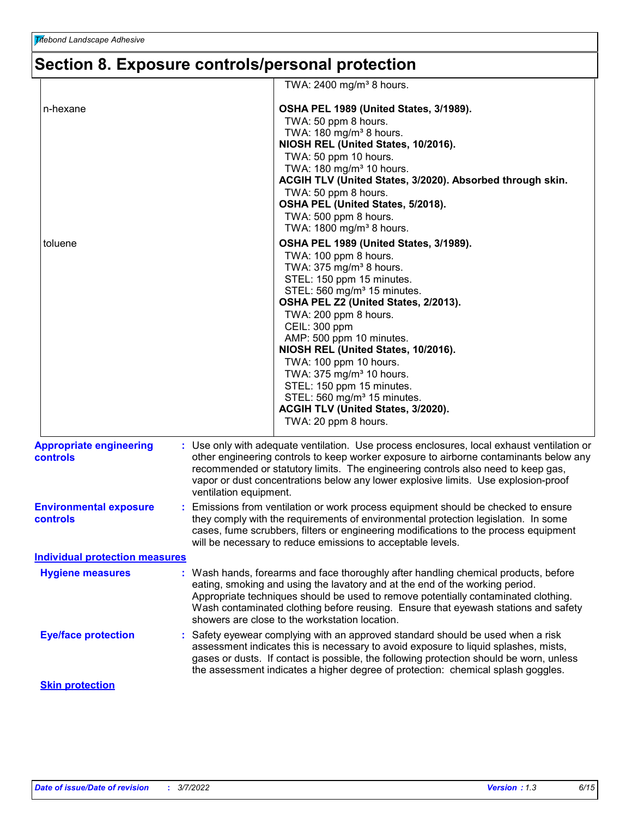# **Section 8. Exposure controls/personal protection**

|                                            | TWA: $2400$ mg/m <sup>3</sup> 8 hours.                                                                                                                                                                                                                                                                                                                                                                                                                                                                                                      |
|--------------------------------------------|---------------------------------------------------------------------------------------------------------------------------------------------------------------------------------------------------------------------------------------------------------------------------------------------------------------------------------------------------------------------------------------------------------------------------------------------------------------------------------------------------------------------------------------------|
| n-hexane                                   | OSHA PEL 1989 (United States, 3/1989).<br>TWA: 50 ppm 8 hours.<br>TWA: 180 mg/m <sup>3</sup> 8 hours.                                                                                                                                                                                                                                                                                                                                                                                                                                       |
|                                            | NIOSH REL (United States, 10/2016).<br>TWA: 50 ppm 10 hours.<br>TWA: 180 mg/m <sup>3</sup> 10 hours.<br>ACGIH TLV (United States, 3/2020). Absorbed through skin.<br>TWA: 50 ppm 8 hours.<br>OSHA PEL (United States, 5/2018).<br>TWA: 500 ppm 8 hours.<br>TWA: 1800 mg/m <sup>3</sup> 8 hours.                                                                                                                                                                                                                                             |
| toluene                                    | OSHA PEL 1989 (United States, 3/1989).<br>TWA: 100 ppm 8 hours.<br>TWA: 375 mg/m <sup>3</sup> 8 hours.<br>STEL: 150 ppm 15 minutes.<br>STEL: 560 mg/m <sup>3</sup> 15 minutes.<br>OSHA PEL Z2 (United States, 2/2013).<br>TWA: 200 ppm 8 hours.<br>CEIL: 300 ppm<br>AMP: 500 ppm 10 minutes.<br>NIOSH REL (United States, 10/2016).<br>TWA: 100 ppm 10 hours.<br>TWA: 375 mg/m <sup>3</sup> 10 hours.<br>STEL: 150 ppm 15 minutes.<br>STEL: 560 mg/m <sup>3</sup> 15 minutes.<br>ACGIH TLV (United States, 3/2020).<br>TWA: 20 ppm 8 hours. |
| <b>Appropriate engineering</b><br>controls | : Use only with adequate ventilation. Use process enclosures, local exhaust ventilation or<br>other engineering controls to keep worker exposure to airborne contaminants below any<br>recommended or statutory limits. The engineering controls also need to keep gas,<br>vapor or dust concentrations below any lower explosive limits. Use explosion-proof<br>ventilation equipment.                                                                                                                                                     |
| <b>Environmental exposure</b><br>controls  | : Emissions from ventilation or work process equipment should be checked to ensure<br>they comply with the requirements of environmental protection legislation. In some<br>cases, fume scrubbers, filters or engineering modifications to the process equipment<br>will be necessary to reduce emissions to acceptable levels.                                                                                                                                                                                                             |
| <b>Individual protection measures</b>      |                                                                                                                                                                                                                                                                                                                                                                                                                                                                                                                                             |
| <b>Hygiene measures</b>                    | : Wash hands, forearms and face thoroughly after handling chemical products, before<br>eating, smoking and using the lavatory and at the end of the working period.<br>Appropriate techniques should be used to remove potentially contaminated clothing.<br>Wash contaminated clothing before reusing. Ensure that eyewash stations and safety<br>showers are close to the workstation location.                                                                                                                                           |
| <b>Eye/face protection</b>                 | : Safety eyewear complying with an approved standard should be used when a risk<br>assessment indicates this is necessary to avoid exposure to liquid splashes, mists,<br>gases or dusts. If contact is possible, the following protection should be worn, unless<br>the assessment indicates a higher degree of protection: chemical splash goggles.                                                                                                                                                                                       |
| <b>Skin protection</b>                     |                                                                                                                                                                                                                                                                                                                                                                                                                                                                                                                                             |
|                                            |                                                                                                                                                                                                                                                                                                                                                                                                                                                                                                                                             |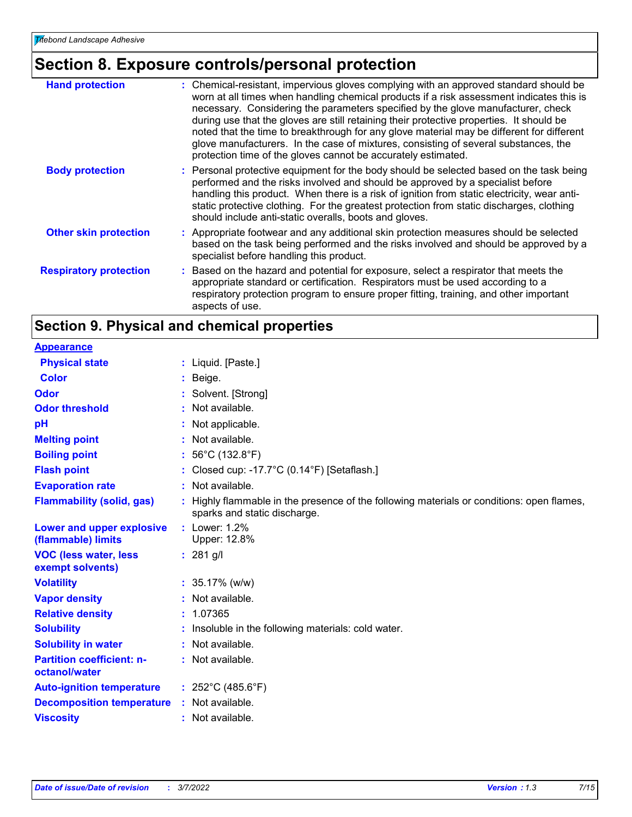# **Section 8. Exposure controls/personal protection**

| <b>Hand protection</b>        | : Chemical-resistant, impervious gloves complying with an approved standard should be<br>worn at all times when handling chemical products if a risk assessment indicates this is<br>necessary. Considering the parameters specified by the glove manufacturer, check<br>during use that the gloves are still retaining their protective properties. It should be<br>noted that the time to breakthrough for any glove material may be different for different<br>glove manufacturers. In the case of mixtures, consisting of several substances, the<br>protection time of the gloves cannot be accurately estimated. |
|-------------------------------|------------------------------------------------------------------------------------------------------------------------------------------------------------------------------------------------------------------------------------------------------------------------------------------------------------------------------------------------------------------------------------------------------------------------------------------------------------------------------------------------------------------------------------------------------------------------------------------------------------------------|
| <b>Body protection</b>        | : Personal protective equipment for the body should be selected based on the task being<br>performed and the risks involved and should be approved by a specialist before<br>handling this product. When there is a risk of ignition from static electricity, wear anti-<br>static protective clothing. For the greatest protection from static discharges, clothing<br>should include anti-static overalls, boots and gloves.                                                                                                                                                                                         |
| <b>Other skin protection</b>  | : Appropriate footwear and any additional skin protection measures should be selected<br>based on the task being performed and the risks involved and should be approved by a<br>specialist before handling this product.                                                                                                                                                                                                                                                                                                                                                                                              |
| <b>Respiratory protection</b> | : Based on the hazard and potential for exposure, select a respirator that meets the<br>appropriate standard or certification. Respirators must be used according to a<br>respiratory protection program to ensure proper fitting, training, and other important<br>aspects of use.                                                                                                                                                                                                                                                                                                                                    |

# **Section 9. Physical and chemical properties**

| <b>Appearance</b>                                 |                                                                                                                         |
|---------------------------------------------------|-------------------------------------------------------------------------------------------------------------------------|
| <b>Physical state</b>                             | : Liquid. $[Paste.]$                                                                                                    |
| <b>Color</b>                                      | : Beige.                                                                                                                |
| <b>Odor</b>                                       | : Solvent. [Strong]                                                                                                     |
| <b>Odor threshold</b>                             | : Not available.                                                                                                        |
| рH                                                | Not applicable.                                                                                                         |
| <b>Melting point</b>                              | Not available.                                                                                                          |
| <b>Boiling point</b>                              | : $56^{\circ}$ C (132.8 $^{\circ}$ F)                                                                                   |
| <b>Flash point</b>                                | Closed cup: -17.7°C (0.14°F) [Setaflash.]                                                                               |
| <b>Evaporation rate</b>                           | : Not available.                                                                                                        |
| <b>Flammability (solid, gas)</b>                  | Highly flammable in the presence of the following materials or conditions: open flames,<br>sparks and static discharge. |
| Lower and upper explosive<br>(flammable) limits   | $:$ Lower: 1.2%<br>Upper: 12.8%                                                                                         |
| <b>VOC (less water, less</b><br>exempt solvents)  | $: 281$ g/l                                                                                                             |
| <b>Volatility</b>                                 | : $35.17\%$ (w/w)                                                                                                       |
| <b>Vapor density</b>                              | : Not available.                                                                                                        |
| <b>Relative density</b>                           | : 1.07365                                                                                                               |
| <b>Solubility</b>                                 | : Insoluble in the following materials: cold water.                                                                     |
| <b>Solubility in water</b>                        | : Not available.                                                                                                        |
| <b>Partition coefficient: n-</b><br>octanol/water | : Not available.                                                                                                        |
| <b>Auto-ignition temperature</b>                  | : $252^{\circ}$ C (485.6 $^{\circ}$ F)                                                                                  |
| <b>Decomposition temperature</b>                  | : Not available.                                                                                                        |
| <b>Viscosity</b>                                  | : Not available.                                                                                                        |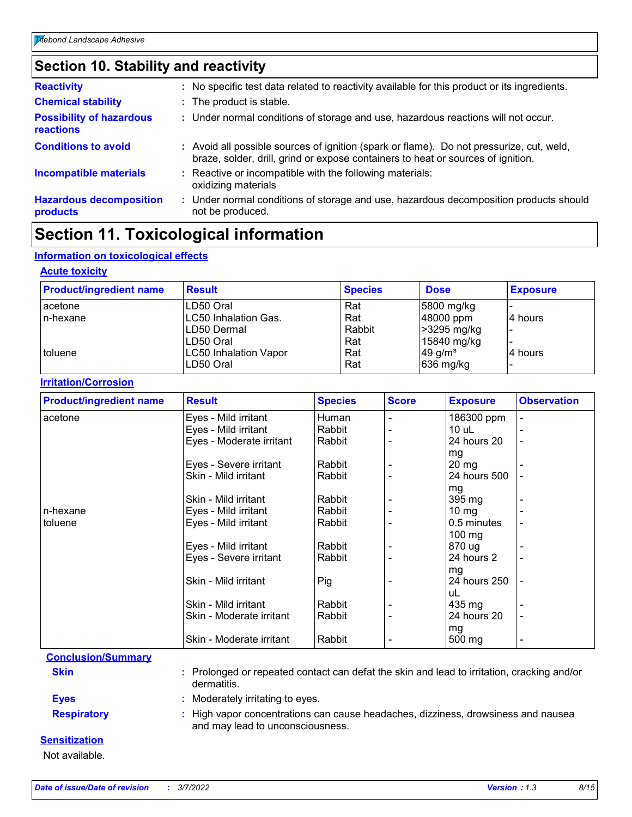# **Section 10. Stability and reactivity**

| <b>Reactivity</b>                                   | : No specific test data related to reactivity available for this product or its ingredients.                                                                                 |
|-----------------------------------------------------|------------------------------------------------------------------------------------------------------------------------------------------------------------------------------|
| <b>Chemical stability</b>                           | : The product is stable.                                                                                                                                                     |
| <b>Possibility of hazardous</b><br><b>reactions</b> | : Under normal conditions of storage and use, hazardous reactions will not occur.                                                                                            |
| <b>Conditions to avoid</b>                          | : Avoid all possible sources of ignition (spark or flame). Do not pressurize, cut, weld,<br>braze, solder, drill, grind or expose containers to heat or sources of ignition. |
| <b>Incompatible materials</b>                       | : Reactive or incompatible with the following materials:<br>oxidizing materials                                                                                              |
| <b>Hazardous decomposition</b><br>products          | Under normal conditions of storage and use, hazardous decomposition products should<br>not be produced.                                                                      |

# **Section 11. Toxicological information**

#### **Information on toxicological effects**

#### **Acute toxicity**

| <b>Product/ingredient name</b> | <b>Result</b>                | <b>Species</b> | <b>Dose</b>           | <b>Exposure</b> |
|--------------------------------|------------------------------|----------------|-----------------------|-----------------|
| acetone                        | LD50 Oral                    | Rat            | 5800 mg/kg            |                 |
| In-hexane                      | <b>LC50 Inhalation Gas.</b>  | Rat            | 48000 ppm             | 4 hours         |
|                                | LD50 Dermal                  | Rabbit         | >3295 mg/kg           |                 |
|                                | LD50 Oral                    | Rat            | 15840 mg/kg           |                 |
| <b>toluene</b>                 | <b>LC50 Inhalation Vapor</b> | Rat            | $49$ g/m <sup>3</sup> | 4 hours         |
|                                | LD50 Oral                    | Rat            | 636 mg/kg             |                 |

#### **Irritation/Corrosion**

| <b>Product/ingredient name</b> | <b>Result</b>            | <b>Species</b> | <b>Score</b> | <b>Exposure</b>  | <b>Observation</b>       |
|--------------------------------|--------------------------|----------------|--------------|------------------|--------------------------|
| acetone                        | Eyes - Mild irritant     | Human          |              | 186300 ppm       | $\overline{a}$           |
|                                | Eyes - Mild irritant     | Rabbit         |              | 10 uL            |                          |
|                                | Eyes - Moderate irritant | Rabbit         |              | 24 hours 20      |                          |
|                                |                          |                |              | mg               |                          |
|                                | Eyes - Severe irritant   | Rabbit         |              | $20 \, mg$       |                          |
|                                | Skin - Mild irritant     | Rabbit         |              | 24 hours 500     |                          |
|                                |                          |                |              | mg               |                          |
|                                | Skin - Mild irritant     | Rabbit         |              | 395 mg           |                          |
| n-hexane                       | Eyes - Mild irritant     | Rabbit         |              | $10 \, mg$       |                          |
| l toluene                      | Eyes - Mild irritant     | Rabbit         |              | 0.5 minutes      |                          |
|                                |                          |                |              | $100 \text{ mg}$ |                          |
|                                | Eyes - Mild irritant     | Rabbit         |              | 870 ug           |                          |
|                                | Eyes - Severe irritant   | Rabbit         |              | 24 hours 2       |                          |
|                                |                          |                |              | mg               |                          |
|                                | Skin - Mild irritant     | Pig            |              | 24 hours 250     |                          |
|                                |                          |                |              | uL               |                          |
|                                | Skin - Mild irritant     | Rabbit         |              | 435 mg           |                          |
|                                | Skin - Moderate irritant | Rabbit         |              | 24 hours 20      | $\blacksquare$           |
|                                |                          |                |              | mg               |                          |
|                                | Skin - Moderate irritant | Rabbit         |              | 500 mg           | $\overline{\phantom{0}}$ |

#### **Conclusion/Summary**

**Skin :** Prolonged or repeated contact can defat the skin and lead to irritation, cracking and/or dermatitis.

**Eyes :** Moderately irritating to eyes.

**Respiratory :** High vapor concentrations can cause headaches, dizziness, drowsiness and nausea and may lead to unconsciousness.

#### **Sensitization**

Not available.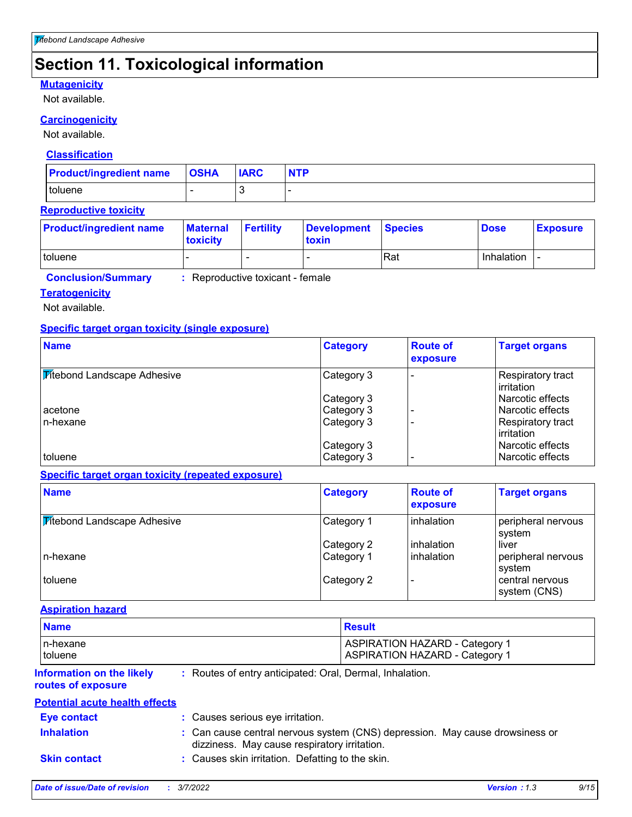# **Section 11. Toxicological information**

#### **Mutagenicity**

Not available.

#### **Carcinogenicity**

Not available.

#### **Classification**

| <b>Product/ingredient name OSHA</b> | <b>IARC</b> | <b>NTP</b> |
|-------------------------------------|-------------|------------|
| toluene                             |             |            |

#### **Reproductive toxicity**

| <b>Product/ingredient name</b> | <b>Maternal</b><br><b>Itoxicity</b> | <b>Fertility</b>         | Development Species<br>toxin |     | <b>Dose</b> | <b>Exposure</b> |
|--------------------------------|-------------------------------------|--------------------------|------------------------------|-----|-------------|-----------------|
| toluene                        |                                     | $\overline{\phantom{0}}$ |                              | Rat | Inhalation  |                 |

**Conclusion/Summary :** Reproductive toxicant - female

#### **Teratogenicity**

Not available.

#### **Specific target organ toxicity (single exposure)**

| <b>Name</b>                        | <b>Category</b>          | <b>Route of</b><br>exposure | <b>Target organs</b>                   |
|------------------------------------|--------------------------|-----------------------------|----------------------------------------|
| <b>Fitebond Landscape Adhesive</b> | Category 3               |                             | Respiratory tract<br>irritation        |
|                                    | Category 3               |                             | Narcotic effects                       |
| acetone                            | Category 3               |                             | Narcotic effects                       |
| In-hexane                          | Category 3               |                             | Respiratory tract<br>irritation        |
| toluene                            | Category 3<br>Category 3 |                             | l Narcotic effects<br>Narcotic effects |

#### **Specific target organ toxicity (repeated exposure)**

| <b>Name</b>                        | <b>Category</b> | <b>Route of</b><br>exposure | <b>Target organs</b>            |
|------------------------------------|-----------------|-----------------------------|---------------------------------|
| <b>Titebond Landscape Adhesive</b> | Category 1      | inhalation                  | peripheral nervous<br>system    |
|                                    | Category 2      | inhalation                  | liver                           |
| In-hexane                          | Category 1      | inhalation                  | peripheral nervous<br>system    |
| toluene                            | Category 2      |                             | central nervous<br>system (CNS) |

#### **Aspiration hazard**

| <b>Name</b> | Result                                |
|-------------|---------------------------------------|
| In-hexane   | <b>ASPIRATION HAZARD - Category 1</b> |
| toluene     | <b>ASPIRATION HAZARD - Category 1</b> |

#### **Information on the likely routes of exposure**

**:** Routes of entry anticipated: Oral, Dermal, Inhalation.

#### **Potential acute health effects**

| <b>Eve contact</b>  | : Causes serious eye irritation.                                                                                             |
|---------------------|------------------------------------------------------------------------------------------------------------------------------|
| <b>Inhalation</b>   | : Can cause central nervous system (CNS) depression. May cause drowsiness or<br>dizziness. May cause respiratory irritation. |
| <b>Skin contact</b> | : Causes skin irritation. Defatting to the skin.                                                                             |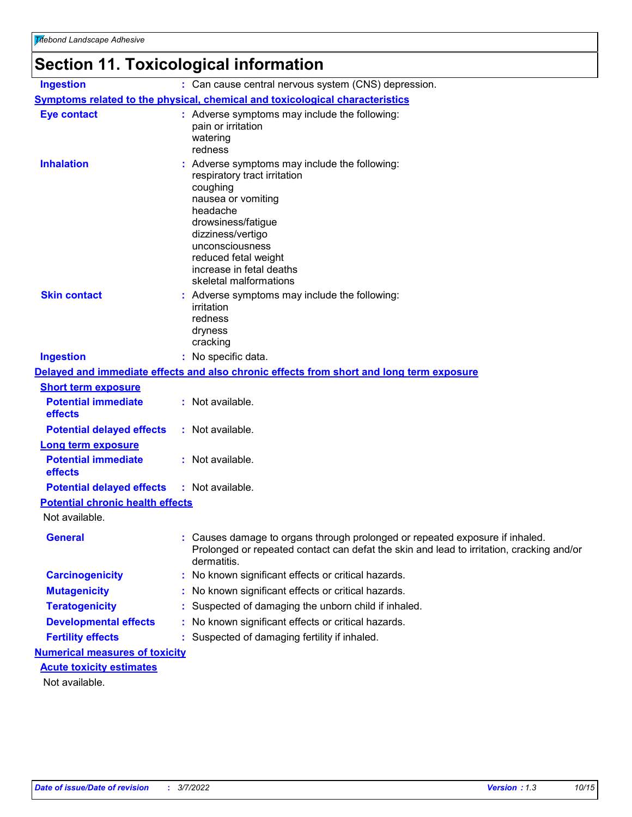# **Section 11. Toxicological information**

| <b>Ingestion</b>                        | : Can cause central nervous system (CNS) depression.                                                                                                                                                                                                                  |
|-----------------------------------------|-----------------------------------------------------------------------------------------------------------------------------------------------------------------------------------------------------------------------------------------------------------------------|
|                                         | <b>Symptoms related to the physical, chemical and toxicological characteristics</b>                                                                                                                                                                                   |
| <b>Eye contact</b>                      | : Adverse symptoms may include the following:<br>pain or irritation<br>watering<br>redness                                                                                                                                                                            |
| <b>Inhalation</b>                       | Adverse symptoms may include the following:<br>respiratory tract irritation<br>coughing<br>nausea or vomiting<br>headache<br>drowsiness/fatigue<br>dizziness/vertigo<br>unconsciousness<br>reduced fetal weight<br>increase in fetal deaths<br>skeletal malformations |
| <b>Skin contact</b>                     | : Adverse symptoms may include the following:<br>irritation<br>redness<br>dryness<br>cracking                                                                                                                                                                         |
| <b>Ingestion</b>                        | : No specific data.                                                                                                                                                                                                                                                   |
|                                         | Delayed and immediate effects and also chronic effects from short and long term exposure                                                                                                                                                                              |
| <b>Short term exposure</b>              |                                                                                                                                                                                                                                                                       |
| <b>Potential immediate</b><br>effects   | : Not available.                                                                                                                                                                                                                                                      |
| <b>Potential delayed effects</b>        | : Not available.                                                                                                                                                                                                                                                      |
| <b>Long term exposure</b>               |                                                                                                                                                                                                                                                                       |
| <b>Potential immediate</b><br>effects   | : Not available.                                                                                                                                                                                                                                                      |
| <b>Potential delayed effects</b>        | : Not available.                                                                                                                                                                                                                                                      |
| <b>Potential chronic health effects</b> |                                                                                                                                                                                                                                                                       |
| Not available.                          |                                                                                                                                                                                                                                                                       |
| <b>General</b>                          | : Causes damage to organs through prolonged or repeated exposure if inhaled.<br>Prolonged or repeated contact can defat the skin and lead to irritation, cracking and/or<br>dermatitis.                                                                               |
| <b>Carcinogenicity</b>                  | No known significant effects or critical hazards.                                                                                                                                                                                                                     |
| <b>Mutagenicity</b>                     | No known significant effects or critical hazards.                                                                                                                                                                                                                     |
| <b>Teratogenicity</b>                   | Suspected of damaging the unborn child if inhaled.                                                                                                                                                                                                                    |
| <b>Developmental effects</b>            | No known significant effects or critical hazards.                                                                                                                                                                                                                     |
| <b>Fertility effects</b>                | Suspected of damaging fertility if inhaled.                                                                                                                                                                                                                           |
| <b>Numerical measures of toxicity</b>   |                                                                                                                                                                                                                                                                       |
| <b>Acute toxicity estimates</b>         |                                                                                                                                                                                                                                                                       |
| Not available.                          |                                                                                                                                                                                                                                                                       |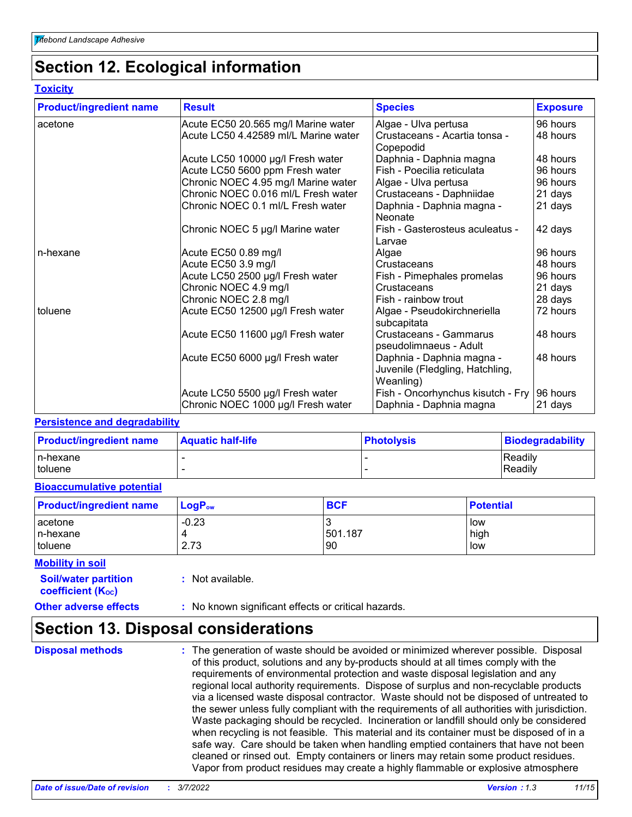# **Section 12. Ecological information**

#### **Toxicity**

| <b>Product/ingredient name</b> | <b>Result</b>                        | <b>Species</b>                                                            | <b>Exposure</b> |
|--------------------------------|--------------------------------------|---------------------------------------------------------------------------|-----------------|
| acetone                        | Acute EC50 20.565 mg/l Marine water  | Algae - Ulva pertusa                                                      | 96 hours        |
|                                | Acute LC50 4.42589 ml/L Marine water | Crustaceans - Acartia tonsa -<br>Copepodid                                | 48 hours        |
|                                | Acute LC50 10000 µg/l Fresh water    | Daphnia - Daphnia magna                                                   | 48 hours        |
|                                | Acute LC50 5600 ppm Fresh water      | Fish - Poecilia reticulata                                                | 96 hours        |
|                                | Chronic NOEC 4.95 mg/l Marine water  | Algae - Ulva pertusa                                                      | 96 hours        |
|                                | Chronic NOEC 0.016 ml/L Fresh water  | Crustaceans - Daphniidae                                                  | 21 days         |
|                                | Chronic NOEC 0.1 ml/L Fresh water    | Daphnia - Daphnia magna -<br><b>Neonate</b>                               | 21 days         |
|                                | Chronic NOEC 5 µg/l Marine water     | Fish - Gasterosteus aculeatus -<br>Larvae                                 | 42 days         |
| n-hexane                       | Acute EC50 0.89 mg/l                 | Algae                                                                     | 96 hours        |
|                                | Acute EC50 3.9 mg/l                  | Crustaceans                                                               | 48 hours        |
|                                | Acute LC50 2500 µg/l Fresh water     | Fish - Pimephales promelas                                                | 96 hours        |
|                                | Chronic NOEC 4.9 mg/l                | Crustaceans                                                               | 21 days         |
|                                | Chronic NOEC 2.8 mg/l                | Fish - rainbow trout                                                      | 28 days         |
| toluene                        | Acute EC50 12500 µg/l Fresh water    | Algae - Pseudokirchneriella<br>subcapitata                                | 72 hours        |
|                                | Acute EC50 11600 µg/l Fresh water    | Crustaceans - Gammarus<br>pseudolimnaeus - Adult                          | 48 hours        |
|                                | Acute EC50 6000 µg/l Fresh water     | Daphnia - Daphnia magna -<br>Juvenile (Fledgling, Hatchling,<br>Weanling) | 48 hours        |
|                                | Acute LC50 5500 µg/l Fresh water     | Fish - Oncorhynchus kisutch - Fry                                         | 96 hours        |
|                                | Chronic NOEC 1000 µg/l Fresh water   | Daphnia - Daphnia magna                                                   | 21 days         |

#### **Persistence and degradability**

| <b>Product/ingredient name</b> | <b>Aquatic half-life</b> | <b>Photolysis</b> | <b>Biodegradability</b> |
|--------------------------------|--------------------------|-------------------|-------------------------|
| In-hexane                      |                          |                   | Readily                 |
| I toluene                      |                          |                   | Readily                 |

#### **Bioaccumulative potential**

| <b>Product/ingredient name</b> | $\mathsf{LogP}_\mathsf{ow}$ | <b>BCF</b> | <b>Potential</b> |
|--------------------------------|-----------------------------|------------|------------------|
| acetone<br>In-hexane           | $-0.23$                     | 501.187    | low<br>high      |
| toluene                        | 2.73                        | <b>90</b>  | low              |

#### **Mobility in soil**

**:** Not available.

**coefficient (Koc)** 

**Soil/water partition** 

#### **Other adverse effects** : No known significant effects or critical hazards.

# **Section 13. Disposal considerations**

**Disposal methods :**

The generation of waste should be avoided or minimized wherever possible. Disposal of this product, solutions and any by-products should at all times comply with the requirements of environmental protection and waste disposal legislation and any regional local authority requirements. Dispose of surplus and non-recyclable products via a licensed waste disposal contractor. Waste should not be disposed of untreated to the sewer unless fully compliant with the requirements of all authorities with jurisdiction. Waste packaging should be recycled. Incineration or landfill should only be considered when recycling is not feasible. This material and its container must be disposed of in a safe way. Care should be taken when handling emptied containers that have not been cleaned or rinsed out. Empty containers or liners may retain some product residues. Vapor from product residues may create a highly flammable or explosive atmosphere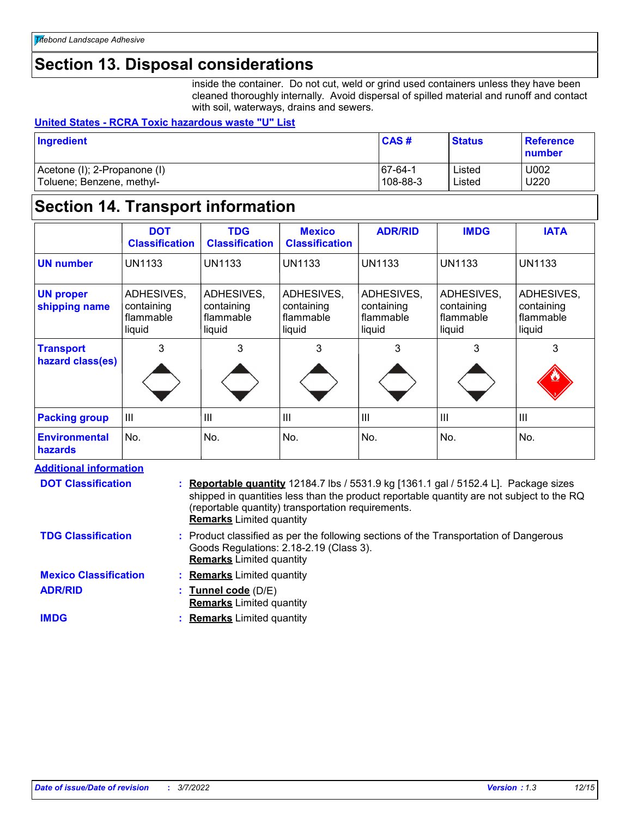# **Section 13. Disposal considerations**

inside the container. Do not cut, weld or grind used containers unless they have been cleaned thoroughly internally. Avoid dispersal of spilled material and runoff and contact with soil, waterways, drains and sewers.

#### **United States - RCRA Toxic hazardous waste "U" List**

| Ingredient                   | CAS#      | <b>Status</b> | <b>Reference</b><br><b>Inumber</b> |
|------------------------------|-----------|---------------|------------------------------------|
| Acetone (I); 2-Propanone (I) | $67-64-1$ | Listed        | U002                               |
| Toluene; Benzene, methyl-    | 108-88-3  | Listed        | U220                               |

# **Section 14. Transport information**

|                                        | <b>DOT</b><br><b>Classification</b>             | <b>TDG</b><br><b>Classification</b>             | <b>Mexico</b><br><b>Classification</b>          | <b>ADR/RID</b>                                  | <b>IMDG</b>                                     | <b>IATA</b>                                     |
|----------------------------------------|-------------------------------------------------|-------------------------------------------------|-------------------------------------------------|-------------------------------------------------|-------------------------------------------------|-------------------------------------------------|
| <b>UN number</b>                       | <b>UN1133</b>                                   | <b>UN1133</b>                                   | <b>UN1133</b>                                   | <b>UN1133</b>                                   | <b>UN1133</b>                                   | <b>UN1133</b>                                   |
| <b>UN proper</b><br>shipping name      | ADHESIVES,<br>containing<br>flammable<br>liquid | ADHESIVES,<br>containing<br>flammable<br>liquid | ADHESIVES,<br>containing<br>flammable<br>liquid | ADHESIVES,<br>containing<br>flammable<br>liquid | ADHESIVES,<br>containing<br>flammable<br>liquid | ADHESIVES,<br>containing<br>flammable<br>liquid |
| <b>Transport</b><br>hazard class(es)   | 3                                               | 3                                               | 3                                               | 3                                               | 3                                               | 3                                               |
| <b>Packing group</b>                   | $\mathbf{III}$                                  | III                                             | III                                             | Ш                                               | $\mathbf{III}$                                  | III                                             |
| <b>Environmental</b><br><b>hazards</b> | No.                                             | No.                                             | No.                                             | No.                                             | No.                                             | No.                                             |

#### **Additional information**

| <b>DOT Classification</b>    | : Reportable quantity 12184.7 lbs / 5531.9 kg [1361.1 gal / 5152.4 L]. Package sizes<br>shipped in quantities less than the product reportable quantity are not subject to the RQ<br>(reportable quantity) transportation requirements.<br><b>Remarks</b> Limited quantity |
|------------------------------|----------------------------------------------------------------------------------------------------------------------------------------------------------------------------------------------------------------------------------------------------------------------------|
| <b>TDG Classification</b>    | : Product classified as per the following sections of the Transportation of Dangerous<br>Goods Regulations: 2.18-2.19 (Class 3).<br><b>Remarks</b> Limited quantity                                                                                                        |
| <b>Mexico Classification</b> | : Remarks Limited quantity                                                                                                                                                                                                                                                 |
| <b>ADR/RID</b>               | : Tunnel code $(D/E)$<br><b>Remarks</b> Limited quantity                                                                                                                                                                                                                   |
| <b>IMDG</b>                  | : Remarks Limited quantity                                                                                                                                                                                                                                                 |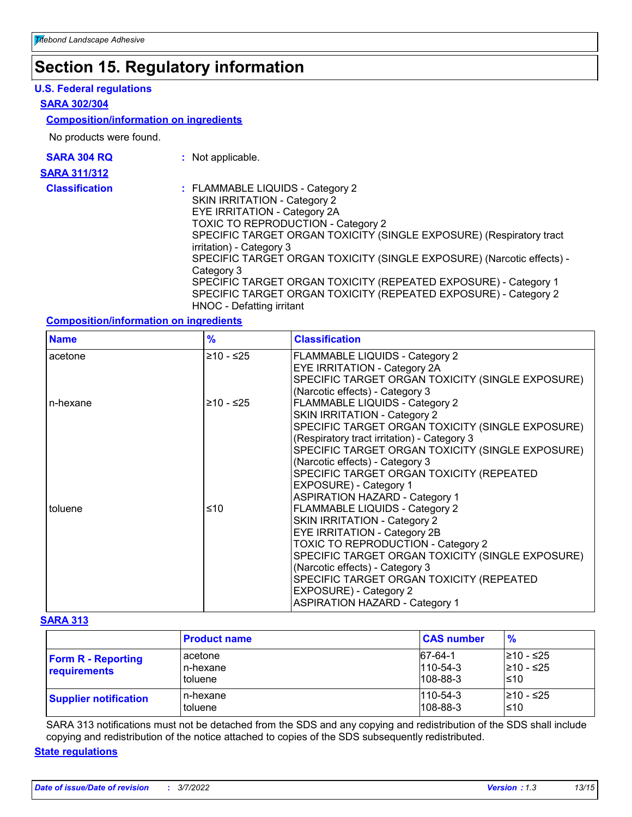# **Section 15. Regulatory information**

#### **U.S. Federal regulations**

#### **SARA 302/304**

#### **Composition/information on ingredients**

No products were found.

| <b>SARA 304 RQ</b>    | : Not applicable.                                                                                                                                                                                                                                                                                                                                                                                                                                                                                          |
|-----------------------|------------------------------------------------------------------------------------------------------------------------------------------------------------------------------------------------------------------------------------------------------------------------------------------------------------------------------------------------------------------------------------------------------------------------------------------------------------------------------------------------------------|
| <b>SARA 311/312</b>   |                                                                                                                                                                                                                                                                                                                                                                                                                                                                                                            |
| <b>Classification</b> | : FLAMMABLE LIQUIDS - Category 2<br>SKIN IRRITATION - Category 2<br>EYE IRRITATION - Category 2A<br><b>TOXIC TO REPRODUCTION - Category 2</b><br>SPECIFIC TARGET ORGAN TOXICITY (SINGLE EXPOSURE) (Respiratory tract<br>irritation) - Category 3<br>SPECIFIC TARGET ORGAN TOXICITY (SINGLE EXPOSURE) (Narcotic effects) -<br>Category 3<br>SPECIFIC TARGET ORGAN TOXICITY (REPEATED EXPOSURE) - Category 1<br>SPECIFIC TARGET ORGAN TOXICITY (REPEATED EXPOSURE) - Category 2<br>HNOC - Defatting irritant |

#### **Composition/information on ingredients**

| <b>Name</b> | $\frac{9}{6}$ | <b>Classification</b>                                                                                                                                                                                                                                                                                                                                                   |
|-------------|---------------|-------------------------------------------------------------------------------------------------------------------------------------------------------------------------------------------------------------------------------------------------------------------------------------------------------------------------------------------------------------------------|
| acetone     | ≥10 - ≤25     | <b>FLAMMABLE LIQUIDS - Category 2</b><br>EYE IRRITATION - Category 2A<br>SPECIFIC TARGET ORGAN TOXICITY (SINGLE EXPOSURE)<br>(Narcotic effects) - Category 3                                                                                                                                                                                                            |
| n-hexane    | $≥10 - ≤25$   | FLAMMABLE LIQUIDS - Category 2<br>SKIN IRRITATION - Category 2<br>SPECIFIC TARGET ORGAN TOXICITY (SINGLE EXPOSURE)<br>(Respiratory tract irritation) - Category 3<br>SPECIFIC TARGET ORGAN TOXICITY (SINGLE EXPOSURE)<br>(Narcotic effects) - Category 3<br>SPECIFIC TARGET ORGAN TOXICITY (REPEATED<br>EXPOSURE) - Category 1<br><b>ASPIRATION HAZARD - Category 1</b> |
| toluene     | ≤10           | FLAMMABLE LIQUIDS - Category 2<br>SKIN IRRITATION - Category 2<br>EYE IRRITATION - Category 2B<br>TOXIC TO REPRODUCTION - Category 2<br>SPECIFIC TARGET ORGAN TOXICITY (SINGLE EXPOSURE)<br>(Narcotic effects) - Category 3<br>SPECIFIC TARGET ORGAN TOXICITY (REPEATED<br>EXPOSURE) - Category 2<br><b>ASPIRATION HAZARD - Category 1</b>                              |

#### **SARA 313**

|                                           | <b>Product name</b>            | <b>CAS number</b>                           | $\frac{9}{6}$                   |
|-------------------------------------------|--------------------------------|---------------------------------------------|---------------------------------|
| <b>Form R - Reporting</b><br>requirements | acetone<br>n-hexane<br>toluene | 67-64-1<br>$110 - 54 - 3$<br>$108 - 88 - 3$ | l≥10 - ≤25<br>210 - ≤25<br>l≤10 |
| <b>Supplier notification</b>              | n-hexane<br>toluene            | $1110 - 54 - 3$<br>$ 108 - 88 - 3 $         | l≥10 - ≤25<br>l≤10              |

SARA 313 notifications must not be detached from the SDS and any copying and redistribution of the SDS shall include copying and redistribution of the notice attached to copies of the SDS subsequently redistributed.

#### **State regulations**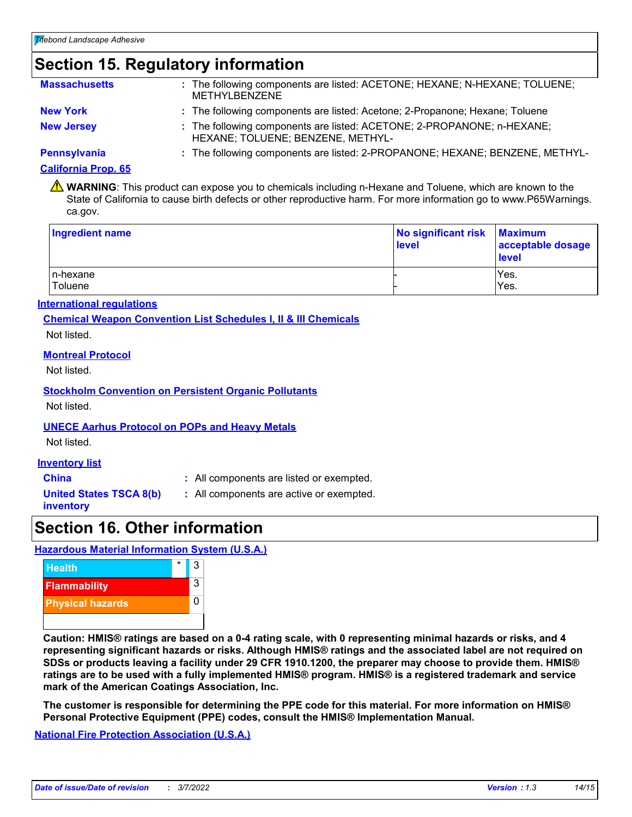# **Section 15. Regulatory information**

| <b>Massachusetts</b> | : The following components are listed: ACETONE; HEXANE; N-HEXANE; TOLUENE;<br><b>METHYLBENZENE</b>          |
|----------------------|-------------------------------------------------------------------------------------------------------------|
| <b>New York</b>      | : The following components are listed: Acetone; 2-Propanone; Hexane; Toluene                                |
| <b>New Jersey</b>    | : The following components are listed: ACETONE; 2-PROPANONE; n-HEXANE;<br>HEXANE; TOLUENE; BENZENE, METHYL- |
| <b>Pennsylvania</b>  | : The following components are listed: 2-PROPANONE; HEXANE; BENZENE, METHYL-                                |

#### **California Prop. 65**

WARNING: This product can expose you to chemicals including n-Hexane and Toluene, which are known to the State of California to cause birth defects or other reproductive harm. For more information go to www.P65Warnings. ca.gov.

| <b>Ingredient name</b> | No significant risk<br>level | <b>Maximum</b><br>acceptable dosage<br><b>level</b> |
|------------------------|------------------------------|-----------------------------------------------------|
| In-hexane<br>Toluene   |                              | Yes.<br>Yes.                                        |

#### **International regulations**

**Chemical Weapon Convention List Schedules I, II & III Chemicals**

Not listed.

#### **Montreal Protocol**

Not listed.

#### **Stockholm Convention on Persistent Organic Pollutants**

Not listed.

#### **UNECE Aarhus Protocol on POPs and Heavy Metals**

Not listed.

#### **Inventory list**

**China :** All components are listed or exempted.

**United States TSCA 8(b) inventory**

**:** All components are active or exempted.

# **Section 16. Other information**

#### **Hazardous Material Information System (U.S.A.)**



**Caution: HMIS® ratings are based on a 0-4 rating scale, with 0 representing minimal hazards or risks, and 4 representing significant hazards or risks. Although HMIS® ratings and the associated label are not required on SDSs or products leaving a facility under 29 CFR 1910.1200, the preparer may choose to provide them. HMIS® ratings are to be used with a fully implemented HMIS® program. HMIS® is a registered trademark and service mark of the American Coatings Association, Inc.**

**The customer is responsible for determining the PPE code for this material. For more information on HMIS® Personal Protective Equipment (PPE) codes, consult the HMIS® Implementation Manual.**

**National Fire Protection Association (U.S.A.)**